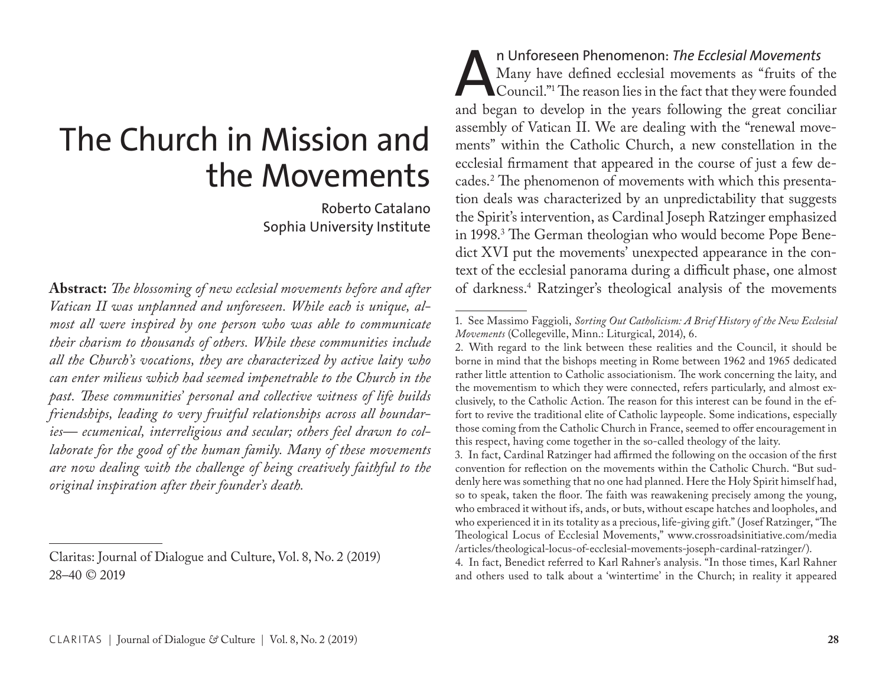# The Church in Mission and the Movements

Roberto Catalano Sophia University Institute

**Abstract:** *The blossoming of new ecclesial movements before and after Vatican II was unplanned and unforeseen. While each is unique, almost all were inspired by one person who was able to communicate their charism to thousands of others. While these communities include all the Church's vocations, they are characterized by active laity who can enter milieus which had seemed impenetrable to the Church in the past. These communities' personal and collective witness of life builds friendships, leading to very fruitful relationships across all boundaries— ecumenical, interreligious and secular; others feel drawn to collaborate for the good of the human family. Many of these movements are now dealing with the challenge of being creatively faithful to the original inspiration after their founder's death.*

In Unforeseen Phenomenon: *The Ecclesial Movements*<br>Many have defined ecclesial movements as "fruits of the Council."<sup>1</sup> The reason lies in the fact that they were found<br>and began to develop in the vears following the grea Many have defined ecclesial movements as "fruits of the Council."1 The reason lies in the fact that they were founded and began to develop in the years following the great conciliar assembly of Vatican II. We are dealing with the "renewal movements" within the Catholic Church, a new constellation in the ecclesial firmament that appeared in the course of just a few decades.2 The phenomenon of movements with which this presentation deals was characterized by an unpredictability that suggests the Spirit's intervention, as Cardinal Joseph Ratzinger emphasized in 1998.3 The German theologian who would become Pope Benedict XVI put the movements' unexpected appearance in the context of the ecclesial panorama during a difficult phase, one almost of darkness.4 Ratzinger's theological analysis of the movements

Claritas: Journal of Dialogue and Culture, Vol. 8, No. 2 (2019) 28–40 © 2019

<sup>1.</sup> See Massimo Faggioli, *Sorting Out Catholicism: A Brief History of the New Ecclesial Movements* (Collegeville, Minn.: Liturgical, 2014), 6.

<sup>2.</sup> With regard to the link between these realities and the Council, it should be borne in mind that the bishops meeting in Rome between 1962 and 1965 dedicated rather little attention to Catholic associationism. The work concerning the laity, and the movementism to which they were connected, refers particularly, and almost exclusively, to the Catholic Action. The reason for this interest can be found in the effort to revive the traditional elite of Catholic laypeople. Some indications, especially those coming from the Catholic Church in France, seemed to offer encouragement in this respect, having come together in the so-called theology of the laity.

<sup>3.</sup> In fact, Cardinal Ratzinger had affirmed the following on the occasion of the first convention for reflection on the movements within the Catholic Church. "But suddenly here was something that no one had planned. Here the Holy Spirit himself had, so to speak, taken the floor. The faith was reawakening precisely among the young, who embraced it without ifs, ands, or buts, without escape hatches and loopholes, and who experienced it in its totality as a precious, life-giving gift." (Josef Ratzinger, "The Theological Locus of Ecclesial Movements," www.crossroadsinitiative.com/media /articles/theological-locus-of-ecclesial-movements-joseph-cardinal-ratzinger/).

<sup>4.</sup> In fact, Benedict referred to Karl Rahner's analysis. "In those times, Karl Rahner and others used to talk about a 'wintertime' in the Church; in reality it appeared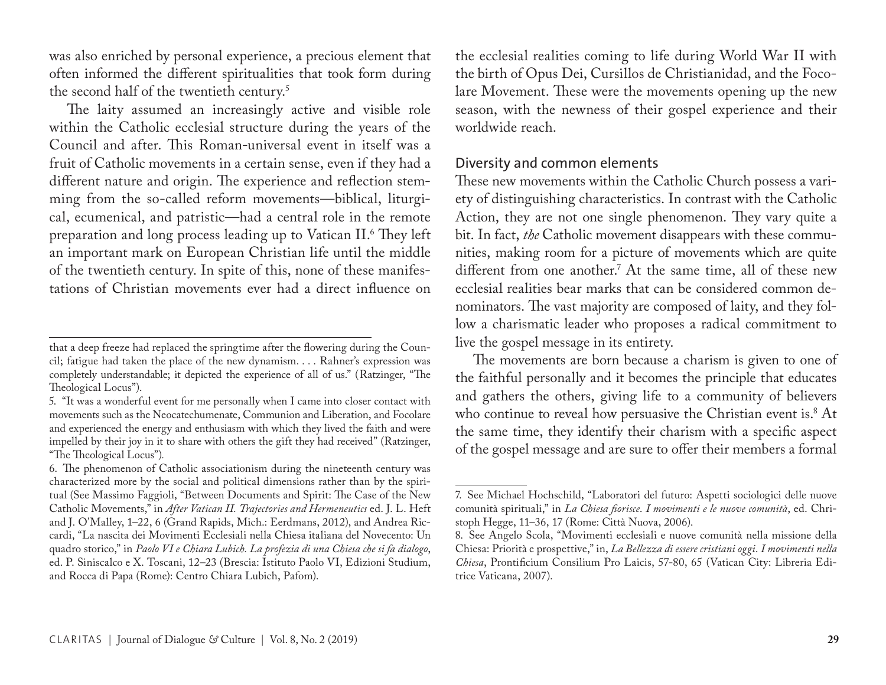was also enriched by personal experience, a precious element that often informed the different spiritualities that took form during the second half of the twentieth century.<sup>5</sup>

The laity assumed an increasingly active and visible role within the Catholic ecclesial structure during the years of the Council and after. This Roman-universal event in itself was a fruit of Catholic movements in a certain sense, even if they had a different nature and origin. The experience and reflection stemming from the so-called reform movements—biblical, liturgical, ecumenical, and patristic—had a central role in the remote preparation and long process leading up to Vatican II.<sup>6</sup> They left an important mark on European Christian life until the middle of the twentieth century. In spite of this, none of these manifestations of Christian movements ever had a direct influence on

the ecclesial realities coming to life during World War II with the birth of Opus Dei, Cursillos de Christianidad, and the Focolare Movement. These were the movements opening up the new season, with the newness of their gospel experience and their worldwide reach.

## Diversity and common elements

These new movements within the Catholic Church possess a variety of distinguishing characteristics. In contrast with the Catholic Action, they are not one single phenomenon. They vary quite a bit. In fact, *the* Catholic movement disappears with these communities, making room for a picture of movements which are quite different from one another.7 At the same time, all of these new ecclesial realities bear marks that can be considered common denominators. The vast majority are composed of laity, and they follow a charismatic leader who proposes a radical commitment to live the gospel message in its entirety.

The movements are born because a charism is given to one of the faithful personally and it becomes the principle that educates and gathers the others, giving life to a community of believers who continue to reveal how persuasive the Christian event is.8 At the same time, they identify their charism with a specific aspect of the gospel message and are sure to offer their members a formal

that a deep freeze had replaced the springtime after the flowering during the Council; fatigue had taken the place of the new dynamism. . . . Rahner's expression was completely understandable; it depicted the experience of all of us." (Ratzinger, "The Theological Locus").

<sup>5.</sup> "It was a wonderful event for me personally when I came into closer contact with movements such as the Neocatechumenate, Communion and Liberation, and Focolare and experienced the energy and enthusiasm with which they lived the faith and were impelled by their joy in it to share with others the gift they had received" (Ratzinger, "The Theological Locus")*.*

<sup>6.</sup> The phenomenon of Catholic associationism during the nineteenth century was characterized more by the social and political dimensions rather than by the spiritual (See Massimo Faggioli, "Between Documents and Spirit: The Case of the New Catholic Movements," in *After Vatican II. Trajectories and Hermeneutics* ed. J. L. Heft and J. O'Malley, 1–22, 6 (Grand Rapids, Mich.: Eerdmans, 2012), and Andrea Riccardi, "La nascita dei Movimenti Ecclesiali nella Chiesa italiana del Novecento: Un quadro storico," in *Paolo VI e Chiara Lubich. La profezia di una Chiesa che si fa dialogo*, ed. P. Siniscalco e X. Toscani, 12–23 (Brescia: Istituto Paolo VI, Edizioni Studium, and Rocca di Papa (Rome): Centro Chiara Lubich, Pafom).

<sup>7.</sup> See Michael Hochschild, "Laboratori del futuro: Aspetti sociologici delle nuove comunità spirituali," in *La Chiesa fiorisce*. *I movimenti e le nuove comunità*, ed. Christoph Hegge, 11–36, 17 (Rome: Città Nuova, 2006).

<sup>8.</sup> See Angelo Scola, "Movimenti ecclesiali e nuove comunità nella missione della Chiesa: Priorità e prospettive," in, *La Bellezza di essere cristiani oggi*. *I movimenti nella Chiesa*, Prontificium Consilium Pro Laicis, 57-80, 65 (Vatican City: Libreria Editrice Vaticana, 2007).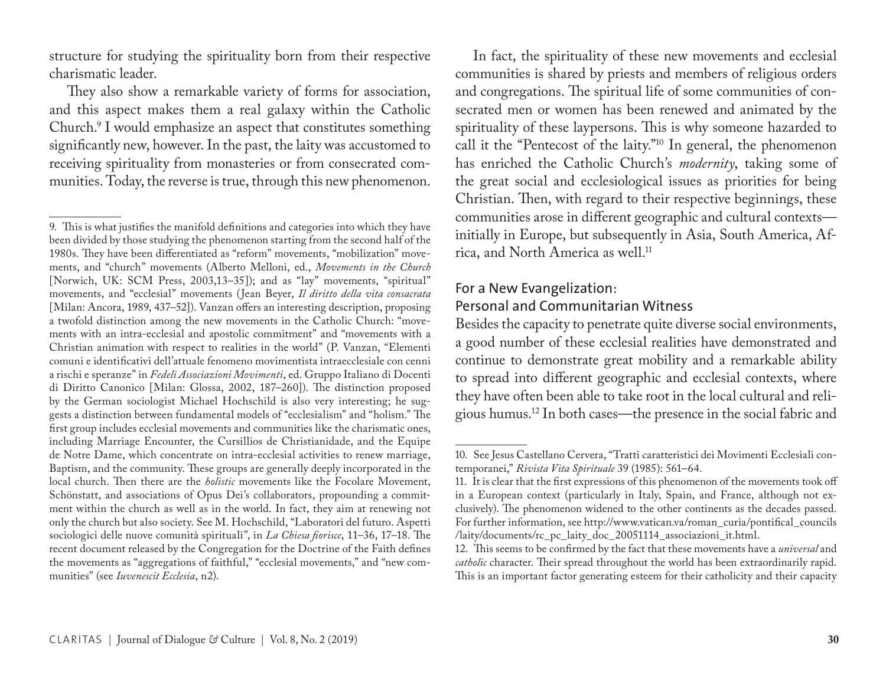structure for studying the spirituality born from their respective charismatic leader.

They also show a remarkable variety of forms for association, and this aspect makes them a real galaxy within the Catholic Church.9 I would emphasize an aspect that constitutes something significantly new, however. In the past, the laity was accustomed to receiving spirituality from monasteries or from consecrated communities. Today, the reverse is true, through this new phenomenon.

In fact, the spirituality of these new movements and ecclesial communities is shared by priests and members of religious orders and congregations. The spiritual life of some communities of consecrated men or women has been renewed and animated by the spirituality of these laypersons. This is why someone hazarded to call it the "Pentecost of the laity."10 In general, the phenomenon has enriched the Catholic Church's *modernity*, taking some of the great social and ecclesiological issues as priorities for being Christian. Then, with regard to their respective beginnings, these communities arose in different geographic and cultural contexts initially in Europe, but subsequently in Asia, South America, Africa, and North America as well.<sup>11</sup>

#### For a New Evangelization: Personal and Communitarian Witness

Besides the capacity to penetrate quite diverse social environments, a good number of these ecclesial realities have demonstrated and continue to demonstrate great mobility and a remarkable ability to spread into different geographic and ecclesial contexts, where they have often been able to take root in the local cultural and religious humus.12 In both cases—the presence in the social fabric and

<sup>9.</sup> This is what justifies the manifold definitions and categories into which they have been divided by those studying the phenomenon starting from the second half of the 1980s. They have been differentiated as "reform" movements, "mobilization" movements, and "church" movements (Alberto Melloni, ed., *Movements in the Church* [Norwich, UK: SCM Press, 2003,13–35]); and as "lay" movements, "spiritual" movements, and "ecclesial" movements (Jean Beyer, *Il diritto della vita consacrata*  [Milan: Ancora, 1989, 437–52]). Vanzan offers an interesting description, proposing a twofold distinction among the new movements in the Catholic Church: "movements with an intra-ecclesial and apostolic commitment" and "movements with a Christian animation with respect to realities in the world" (P. Vanzan, "Elementi comuni e identificativi dell'attuale fenomeno movimentista intraecclesiale con cenni a rischi e speranze" in *Fedeli Associazioni Movimenti*, ed. Gruppo Italiano di Docenti di Diritto Canonico [Milan: Glossa, 2002, 187–260]). The distinction proposed by the German sociologist Michael Hochschild is also very interesting; he suggests a distinction between fundamental models of "ecclesialism" and "holism." The first group includes ecclesial movements and communities like the charismatic ones, including Marriage Encounter, the Cursillios de Christianidade, and the Equipe de Notre Dame, which concentrate on intra-ecclesial activities to renew marriage, Baptism, and the community. These groups are generally deeply incorporated in the local church. Then there are the *holistic* movements like the Focolare Movement, Schönstatt, and associations of Opus Dei's collaborators, propounding a commitment within the church as well as in the world. In fact, they aim at renewing not only the church but also society. See M. Hochschild, "Laboratori del futuro. Aspetti sociologici delle nuove comunità spirituali", in *La Chiesa fiorisce*, 11–36, 17–18. The recent document released by the Congregation for the Doctrine of the Faith defines the movements as "aggregations of faithful," "ecclesial movements," and "new communities" (see *Iuvenescit Ecclesia*, n2).

<sup>10.</sup> See Jesus Castellano Cervera, "Tratti caratteristici dei Movimenti Ecclesiali contemporanei," *Rivista Vita Spirituale* 39 (1985): 561–64.

<sup>11.</sup> It is clear that the first expressions of this phenomenon of the movements took off in a European context (particularly in Italy, Spain, and France, although not exclusively). The phenomenon widened to the other continents as the decades passed. For further information, see http://www.vatican.va/roman\_curia/pontifical\_councils /laity/documents/rc\_pc\_laity\_doc\_20051114\_associazioni\_it.html.

<sup>12.</sup> This seems to be confirmed by the fact that these movements have a *universal* and *catholic* character. Their spread throughout the world has been extraordinarily rapid. This is an important factor generating esteem for their catholicity and their capacity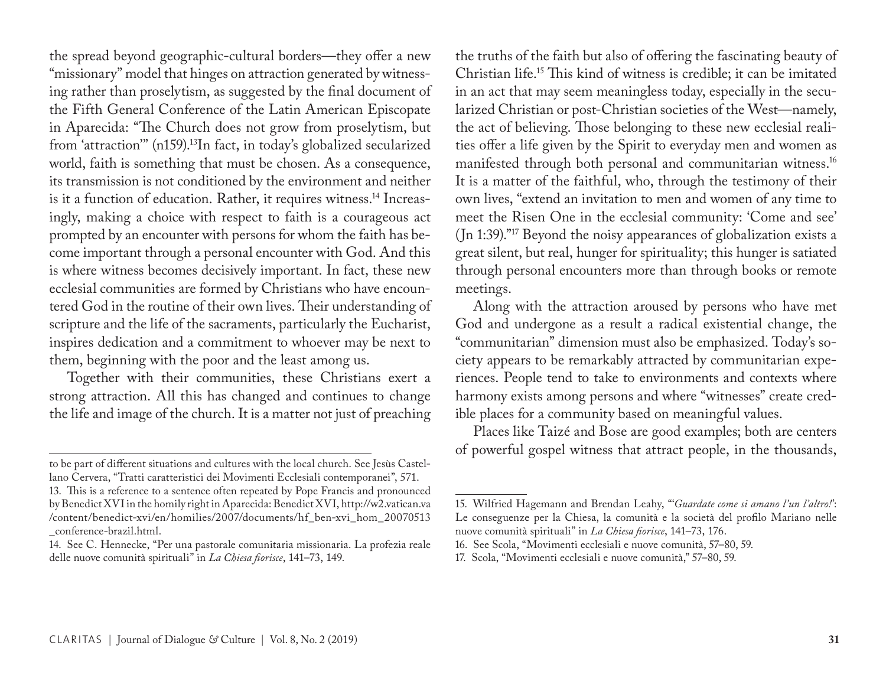the spread beyond geographic-cultural borders—they offer a new "missionary" model that hinges on attraction generated by witnessing rather than proselytism, as suggested by the final document of the Fifth General Conference of the Latin American Episcopate in Aparecida: "The Church does not grow from proselytism, but from 'attraction'" (n159).13In fact, in today's globalized secularized world, faith is something that must be chosen. As a consequence, its transmission is not conditioned by the environment and neither is it a function of education. Rather, it requires witness.14 Increasingly, making a choice with respect to faith is a courageous act prompted by an encounter with persons for whom the faith has become important through a personal encounter with God. And this is where witness becomes decisively important. In fact, these new ecclesial communities are formed by Christians who have encountered God in the routine of their own lives. Their understanding of scripture and the life of the sacraments, particularly the Eucharist, inspires dedication and a commitment to whoever may be next to them, beginning with the poor and the least among us.

Together with their communities, these Christians exert a strong attraction. All this has changed and continues to change the life and image of the church. It is a matter not just of preaching the truths of the faith but also of offering the fascinating beauty of Christian life.15 This kind of witness is credible; it can be imitated in an act that may seem meaningless today, especially in the secularized Christian or post-Christian societies of the West—namely, the act of believing. Those belonging to these new ecclesial realities offer a life given by the Spirit to everyday men and women as manifested through both personal and communitarian witness.<sup>16</sup> It is a matter of the faithful, who, through the testimony of their own lives, "extend an invitation to men and women of any time to meet the Risen One in the ecclesial community: 'Come and see' (Jn 1:39)."17 Beyond the noisy appearances of globalization exists a great silent, but real, hunger for spirituality; this hunger is satiated through personal encounters more than through books or remote meetings.

Along with the attraction aroused by persons who have met God and undergone as a result a radical existential change, the "communitarian" dimension must also be emphasized. Today's society appears to be remarkably attracted by communitarian experiences. People tend to take to environments and contexts where harmony exists among persons and where "witnesses" create credible places for a community based on meaningful values.

Places like Taizé and Bose are good examples; both are centers of powerful gospel witness that attract people, in the thousands,

to be part of different situations and cultures with the local church. See Jesùs Castellano Cervera, "Tratti caratteristici dei Movimenti Ecclesiali contemporanei", 571.

<sup>13.</sup> This is a reference to a sentence often repeated by Pope Francis and pronounced by Benedict XVI in the homily right in Aparecida: Benedict XVI, http://w2.vatican.va /content/benedict-xvi/en/homilies/2007/documents/hf\_ben-xvi\_hom\_20070513 \_conference-brazil.html.

<sup>14.</sup> See C. Hennecke, "Per una pastorale comunitaria missionaria. La profezia reale delle nuove comunità spirituali" in *La Chiesa fiorisce*, 141–73, 149.

<sup>15.</sup> Wilfried Hagemann and Brendan Leahy, "'*Guardate come si amano l'un l'altro!*': Le conseguenze per la Chiesa, la comunità e la società del profilo Mariano nelle nuove comunità spirituali" in *La Chiesa fiorisce*, 141–73, 176.

<sup>16.</sup> See Scola, "Movimenti ecclesiali e nuove comunità, 57–80, 59.

<sup>17.</sup> Scola, "Movimenti ecclesiali e nuove comunità," 57–80, 59.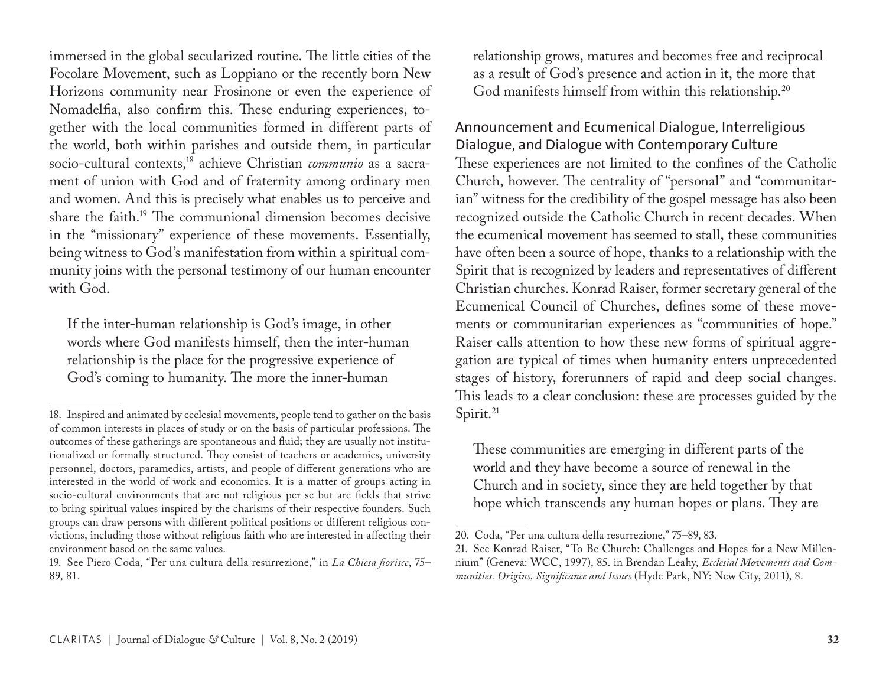immersed in the global secularized routine. The little cities of the Focolare Movement, such as Loppiano or the recently born New Horizons community near Frosinone or even the experience of Nomadelfia, also confirm this. These enduring experiences, together with the local communities formed in different parts of the world, both within parishes and outside them, in particular socio-cultural contexts,<sup>18</sup> achieve Christian *communio* as a sacrament of union with God and of fraternity among ordinary men and women. And this is precisely what enables us to perceive and share the faith.19 The communional dimension becomes decisive in the "missionary" experience of these movements. Essentially, being witness to God's manifestation from within a spiritual community joins with the personal testimony of our human encounter with God.

If the inter-human relationship is God's image, in other words where God manifests himself, then the inter-human relationship is the place for the progressive experience of God's coming to humanity. The more the inner-human

relationship grows, matures and becomes free and reciprocal as a result of God's presence and action in it, the more that God manifests himself from within this relationship.<sup>20</sup>

Announcement and Ecumenical Dialogue, Interreligious Dialogue, and Dialogue with Contemporary Culture These experiences are not limited to the confines of the Catholic Church, however. The centrality of "personal" and "communitarian" witness for the credibility of the gospel message has also been recognized outside the Catholic Church in recent decades. When the ecumenical movement has seemed to stall, these communities have often been a source of hope, thanks to a relationship with the Spirit that is recognized by leaders and representatives of different Christian churches. Konrad Raiser, former secretary general of the Ecumenical Council of Churches, defines some of these movements or communitarian experiences as "communities of hope." Raiser calls attention to how these new forms of spiritual aggregation are typical of times when humanity enters unprecedented stages of history, forerunners of rapid and deep social changes. This leads to a clear conclusion: these are processes guided by the Spirit.<sup>21</sup>

These communities are emerging in different parts of the world and they have become a source of renewal in the Church and in society, since they are held together by that hope which transcends any human hopes or plans. They are

<sup>18.</sup> Inspired and animated by ecclesial movements, people tend to gather on the basis of common interests in places of study or on the basis of particular professions. The outcomes of these gatherings are spontaneous and fluid; they are usually not institutionalized or formally structured. They consist of teachers or academics, university personnel, doctors, paramedics, artists, and people of different generations who are interested in the world of work and economics. It is a matter of groups acting in socio-cultural environments that are not religious per se but are fields that strive to bring spiritual values inspired by the charisms of their respective founders. Such groups can draw persons with different political positions or different religious convictions, including those without religious faith who are interested in affecting their environment based on the same values.

<sup>19.</sup> See Piero Coda, "Per una cultura della resurrezione," in *La Chiesa fiorisce*, 75– 89, 81.

<sup>20.</sup> Coda, "Per una cultura della resurrezione," 75–89, 83.

<sup>21.</sup> See Konrad Raiser, "To Be Church: Challenges and Hopes for a New Millennium" (Geneva: WCC, 1997), 85. in Brendan Leahy, *Ecclesial Movements and Communities. Origins, Significance and Issues* (Hyde Park, NY: New City, 2011), 8.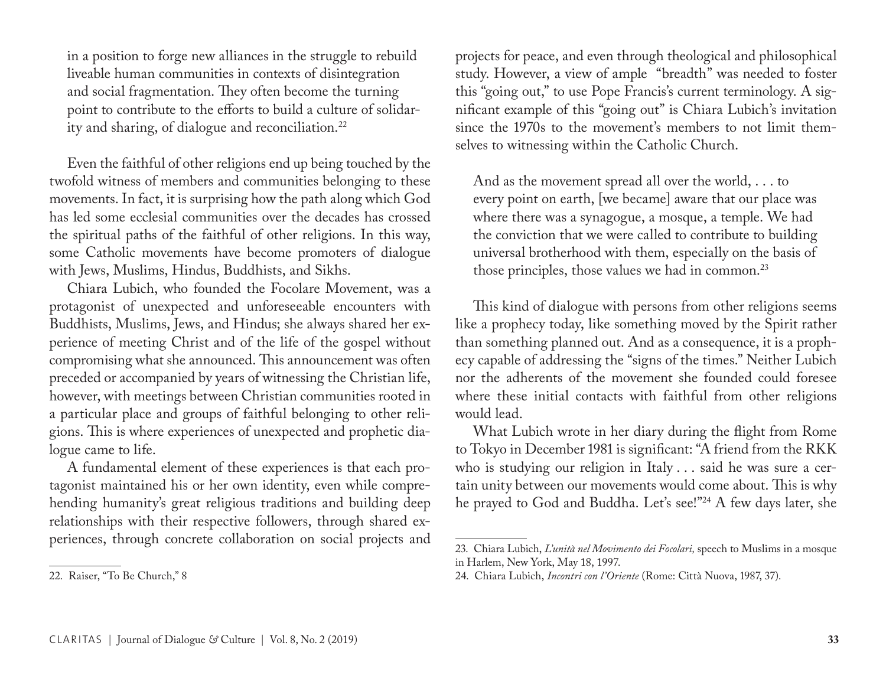in a position to forge new alliances in the struggle to rebuild liveable human communities in contexts of disintegration and social fragmentation. They often become the turning point to contribute to the efforts to build a culture of solidarity and sharing, of dialogue and reconciliation.22

Even the faithful of other religions end up being touched by the twofold witness of members and communities belonging to these movements. In fact, it is surprising how the path along which God has led some ecclesial communities over the decades has crossed the spiritual paths of the faithful of other religions. In this way, some Catholic movements have become promoters of dialogue with Jews, Muslims, Hindus, Buddhists, and Sikhs.

Chiara Lubich, who founded the Focolare Movement, was a protagonist of unexpected and unforeseeable encounters with Buddhists, Muslims, Jews, and Hindus; she always shared her experience of meeting Christ and of the life of the gospel without compromising what she announced. This announcement was often preceded or accompanied by years of witnessing the Christian life, however, with meetings between Christian communities rooted in a particular place and groups of faithful belonging to other religions. This is where experiences of unexpected and prophetic dialogue came to life.

A fundamental element of these experiences is that each protagonist maintained his or her own identity, even while comprehending humanity's great religious traditions and building deep relationships with their respective followers, through shared experiences, through concrete collaboration on social projects and projects for peace, and even through theological and philosophical study. However, a view of ample "breadth" was needed to foster this "going out," to use Pope Francis's current terminology. A significant example of this "going out" is Chiara Lubich's invitation since the 1970s to the movement's members to not limit themselves to witnessing within the Catholic Church.

And as the movement spread all over the world, . . . to every point on earth, [we became] aware that our place was where there was a synagogue, a mosque, a temple. We had the conviction that we were called to contribute to building universal brotherhood with them, especially on the basis of those principles, those values we had in common.<sup>23</sup>

This kind of dialogue with persons from other religions seems like a prophecy today, like something moved by the Spirit rather than something planned out. And as a consequence, it is a prophecy capable of addressing the "signs of the times." Neither Lubich nor the adherents of the movement she founded could foresee where these initial contacts with faithful from other religions would lead.

What Lubich wrote in her diary during the flight from Rome to Tokyo in December 1981 is significant: "A friend from the RKK who is studying our religion in Italy . . . said he was sure a certain unity between our movements would come about. This is why he prayed to God and Buddha. Let's see!"24 A few days later, she

<sup>22.</sup> Raiser, "To Be Church," 8

<sup>23.</sup> Chiara Lubich, *L'unità nel Movimento dei Focolari,* speech to Muslims in a mosque in Harlem, New York, May 18, 1997.

<sup>24.</sup> Chiara Lubich, *Incontri con l'Oriente* (Rome: Città Nuova, 1987, 37).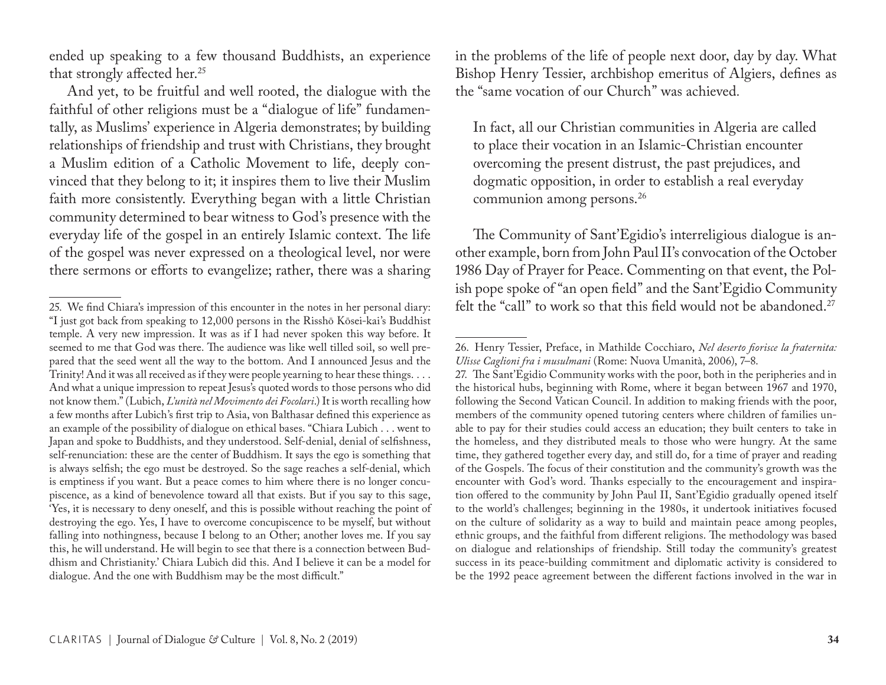ended up speaking to a few thousand Buddhists, an experience that strongly affected her.<sup>25</sup>

And yet, to be fruitful and well rooted, the dialogue with the faithful of other religions must be a "dialogue of life" fundamentally, as Muslims' experience in Algeria demonstrates; by building relationships of friendship and trust with Christians, they brought a Muslim edition of a Catholic Movement to life, deeply convinced that they belong to it; it inspires them to live their Muslim faith more consistently. Everything began with a little Christian community determined to bear witness to God's presence with the everyday life of the gospel in an entirely Islamic context. The life of the gospel was never expressed on a theological level, nor were there sermons or efforts to evangelize; rather, there was a sharing

in the problems of the life of people next door, day by day. What Bishop Henry Tessier, archbishop emeritus of Algiers, defines as the "same vocation of our Church" was achieved*.* 

In fact, all our Christian communities in Algeria are called to place their vocation in an Islamic-Christian encounter overcoming the present distrust, the past prejudices, and dogmatic opposition, in order to establish a real everyday communion among persons.<sup>26</sup>

The Community of Sant'Egidio's interreligious dialogue is another example, born from John Paul II's convocation of the October 1986 Day of Prayer for Peace. Commenting on that event, the Polish pope spoke of "an open field" and the Sant'Egidio Community felt the "call" to work so that this field would not be abandoned.<sup>27</sup>

<sup>25.</sup> We find Chiara's impression of this encounter in the notes in her personal diary: "I just got back from speaking to 12,000 persons in the Risshō Kōsei-kai's Buddhist temple. A very new impression. It was as if I had never spoken this way before. It seemed to me that God was there. The audience was like well tilled soil, so well prepared that the seed went all the way to the bottom. And I announced Jesus and the Trinity! And it was all received as if they were people yearning to hear these things. . . . And what a unique impression to repeat Jesus's quoted words to those persons who did not know them." (Lubich, *L'unità nel Movimento dei Focolari*.) It is worth recalling how a few months after Lubich's first trip to Asia, von Balthasar defined this experience as an example of the possibility of dialogue on ethical bases. "Chiara Lubich . . . went to Japan and spoke to Buddhists, and they understood. Self-denial, denial of selfishness, self-renunciation: these are the center of Buddhism. It says the ego is something that is always selfish; the ego must be destroyed. So the sage reaches a self-denial, which is emptiness if you want. But a peace comes to him where there is no longer concupiscence, as a kind of benevolence toward all that exists. But if you say to this sage, 'Yes, it is necessary to deny oneself, and this is possible without reaching the point of destroying the ego. Yes, I have to overcome concupiscence to be myself, but without falling into nothingness, because I belong to an Other; another loves me. If you say this, he will understand. He will begin to see that there is a connection between Buddhism and Christianity.' Chiara Lubich did this. And I believe it can be a model for dialogue. And the one with Buddhism may be the most difficult."

<sup>26.</sup> Henry Tessier, Preface, in Mathilde Cocchiaro, *Nel deserto fiorisce la fraternita: Ulisse Caglioni fra i musulmani* (Rome: Nuova Umanità, 2006), 7–8.

<sup>27.</sup> The Sant'Egidio Community works with the poor, both in the peripheries and in the historical hubs, beginning with Rome, where it began between 1967 and 1970, following the Second Vatican Council. In addition to making friends with the poor, members of the community opened tutoring centers where children of families unable to pay for their studies could access an education; they built centers to take in the homeless, and they distributed meals to those who were hungry. At the same time, they gathered together every day, and still do, for a time of prayer and reading of the Gospels. The focus of their constitution and the community's growth was the encounter with God's word. Thanks especially to the encouragement and inspiration offered to the community by John Paul II, Sant'Egidio gradually opened itself to the world's challenges; beginning in the 1980s, it undertook initiatives focused on the culture of solidarity as a way to build and maintain peace among peoples, ethnic groups, and the faithful from different religions. The methodology was based on dialogue and relationships of friendship. Still today the community's greatest success in its peace-building commitment and diplomatic activity is considered to be the 1992 peace agreement between the different factions involved in the war in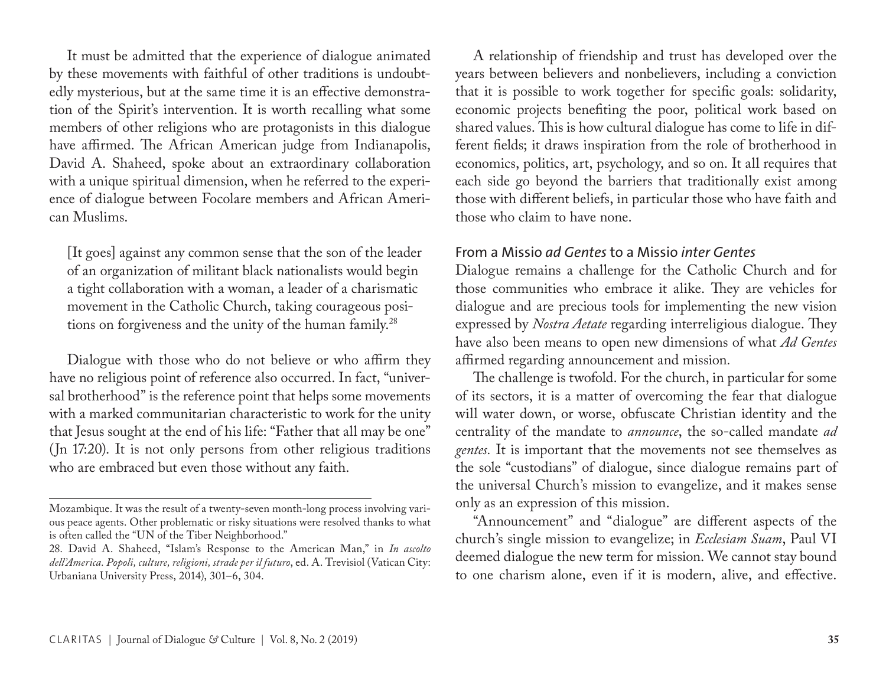It must be admitted that the experience of dialogue animated by these movements with faithful of other traditions is undoubtedly mysterious, but at the same time it is an effective demonstration of the Spirit's intervention. It is worth recalling what some members of other religions who are protagonists in this dialogue have affirmed. The African American judge from Indianapolis, David A. Shaheed, spoke about an extraordinary collaboration with a unique spiritual dimension, when he referred to the experience of dialogue between Focolare members and African American Muslims.

[It goes] against any common sense that the son of the leader of an organization of militant black nationalists would begin a tight collaboration with a woman, a leader of a charismatic movement in the Catholic Church, taking courageous positions on forgiveness and the unity of the human family.<sup>28</sup>

Dialogue with those who do not believe or who affirm they have no religious point of reference also occurred. In fact, "universal brotherhood" is the reference point that helps some movements with a marked communitarian characteristic to work for the unity that Jesus sought at the end of his life: "Father that all may be one" (Jn 17:20). It is not only persons from other religious traditions who are embraced but even those without any faith.

A relationship of friendship and trust has developed over the years between believers and nonbelievers, including a conviction that it is possible to work together for specific goals: solidarity, economic projects benefiting the poor, political work based on shared values. This is how cultural dialogue has come to life in different fields; it draws inspiration from the role of brotherhood in economics, politics, art, psychology, and so on. It all requires that each side go beyond the barriers that traditionally exist among those with different beliefs, in particular those who have faith and those who claim to have none.

#### From a Missio *ad Gentes* to a Missio *inter Gentes*

Dialogue remains a challenge for the Catholic Church and for those communities who embrace it alike. They are vehicles for dialogue and are precious tools for implementing the new vision expressed by *Nostra Aetate* regarding interreligious dialogue. They have also been means to open new dimensions of what *Ad Gentes* affirmed regarding announcement and mission*.* 

The challenge is twofold. For the church, in particular for some of its sectors, it is a matter of overcoming the fear that dialogue will water down, or worse, obfuscate Christian identity and the centrality of the mandate to *announce*, the so-called mandate *ad gentes.* It is important that the movements not see themselves as the sole "custodians" of dialogue, since dialogue remains part of the universal Church's mission to evangelize, and it makes sense only as an expression of this mission.

"Announcement" and "dialogue" are different aspects of the church's single mission to evangelize; in *Ecclesiam Suam*, Paul VI deemed dialogue the new term for mission. We cannot stay bound to one charism alone, even if it is modern, alive, and effective.

Mozambique. It was the result of a twenty-seven month-long process involving various peace agents. Other problematic or risky situations were resolved thanks to what is often called the "UN of the Tiber Neighborhood."

<sup>28.</sup> David A. Shaheed, "Islam's Response to the American Man," in *In ascolto dell'America. Popoli, culture, religioni, strade per il futuro*, ed. A. Trevisiol (Vatican City: Urbaniana University Press, 2014), 301–6, 304.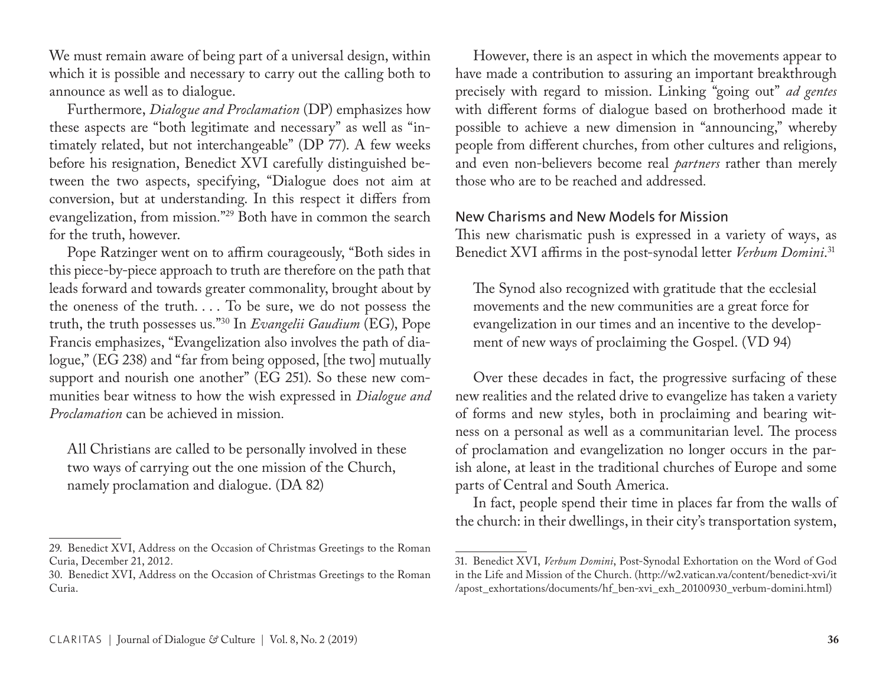We must remain aware of being part of a universal design, within which it is possible and necessary to carry out the calling both to announce as well as to dialogue.

Furthermore, *Dialogue and Proclamation* (DP) emphasizes how these aspects are "both legitimate and necessary" as well as "intimately related, but not interchangeable" (DP 77). A few weeks before his resignation, Benedict XVI carefully distinguished between the two aspects, specifying, "Dialogue does not aim at conversion, but at understanding. In this respect it differs from evangelization, from mission*.*"29 Both have in common the search for the truth, however.

Pope Ratzinger went on to affirm courageously, "Both sides in this piece-by-piece approach to truth are therefore on the path that leads forward and towards greater commonality, brought about by the oneness of the truth. . . . To be sure, we do not possess the truth, the truth possesses us*.*"30 In *Evangelii Gaudium* (EG), Pope Francis emphasizes, "Evangelization also involves the path of dialogue," (EG 238) and "far from being opposed, [the two] mutually support and nourish one another" (EG 251). So these new communities bear witness to how the wish expressed in *Dialogue and Proclamation* can be achieved in mission*.*

All Christians are called to be personally involved in these two ways of carrying out the one mission of the Church, namely proclamation and dialogue. (DA 82)

However, there is an aspect in which the movements appear to have made a contribution to assuring an important breakthrough precisely with regard to mission. Linking "going out" *ad gentes* with different forms of dialogue based on brotherhood made it possible to achieve a new dimension in "announcing," whereby people from different churches, from other cultures and religions, and even non-believers become real *partners* rather than merely those who are to be reached and addressed*.*

### New Charisms and New Models for Mission

This new charismatic push is expressed in a variety of ways, as Benedict XVI affirms in the post-synodal letter *Verbum Domini*. 31

The Synod also recognized with gratitude that the ecclesial movements and the new communities are a great force for evangelization in our times and an incentive to the development of new ways of proclaiming the Gospel. (VD 94)

Over these decades in fact, the progressive surfacing of these new realities and the related drive to evangelize has taken a variety of forms and new styles, both in proclaiming and bearing witness on a personal as well as a communitarian level. The process of proclamation and evangelization no longer occurs in the parish alone, at least in the traditional churches of Europe and some parts of Central and South America.

In fact, people spend their time in places far from the walls of the church: in their dwellings, in their city's transportation system,

<sup>29.</sup> Benedict XVI, Address on the Occasion of Christmas Greetings to the Roman Curia, December 21, 2012.

<sup>30.</sup> Benedict XVI, Address on the Occasion of Christmas Greetings to the Roman Curia.

<sup>31.</sup> Benedict XVI, *Verbum Domini*, Post-Synodal Exhortation on the Word of God in the Life and Mission of the Church. (http://w2.vatican.va/content/benedict-xvi/it /apost\_exhortations/documents/hf\_ben-xvi\_exh\_20100930\_verbum-domini.html)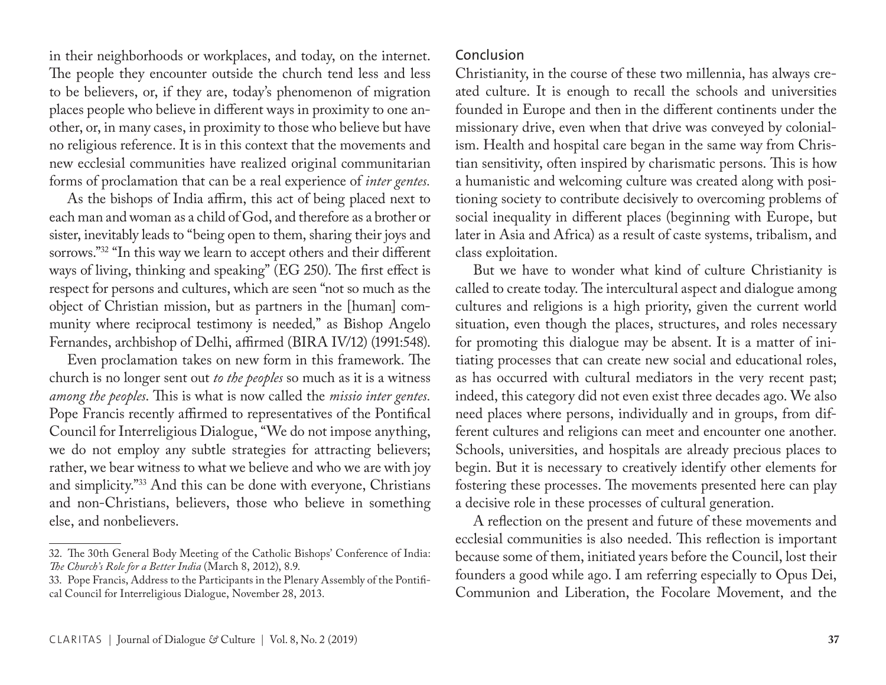in their neighborhoods or workplaces, and today, on the internet. The people they encounter outside the church tend less and less to be believers, or, if they are, today's phenomenon of migration places people who believe in different ways in proximity to one another, or, in many cases, in proximity to those who believe but have no religious reference. It is in this context that the movements and new ecclesial communities have realized original communitarian forms of proclamation that can be a real experience of *inter gentes.*

As the bishops of India affirm, this act of being placed next to each man and woman as a child of God, and therefore as a brother or sister, inevitably leads to "being open to them, sharing their joys and sorrows."32 "In this way we learn to accept others and their different ways of living, thinking and speaking" (EG 250). The first effect is respect for persons and cultures, which are seen "not so much as the object of Christian mission, but as partners in the [human] community where reciprocal testimony is needed*,*" as Bishop Angelo Fernandes, archbishop of Delhi, affirmed (BIRA IV/12) (1991:548).

Even proclamation takes on new form in this framework. The church is no longer sent out *to the peoples* so much as it is a witness *among the peoples*. This is what is now called the *missio inter gentes.* Pope Francis recently affirmed to representatives of the Pontifical Council for Interreligious Dialogue, "We do not impose anything, we do not employ any subtle strategies for attracting believers; rather, we bear witness to what we believe and who we are with joy and simplicity."33 And this can be done with everyone, Christians and non-Christians, believers, those who believe in something else, and nonbelievers.

## Conclusion

Christianity, in the course of these two millennia, has always created culture. It is enough to recall the schools and universities founded in Europe and then in the different continents under the missionary drive, even when that drive was conveyed by colonialism. Health and hospital care began in the same way from Christian sensitivity, often inspired by charismatic persons. This is how a humanistic and welcoming culture was created along with positioning society to contribute decisively to overcoming problems of social inequality in different places (beginning with Europe, but later in Asia and Africa) as a result of caste systems, tribalism, and class exploitation.

But we have to wonder what kind of culture Christianity is called to create today. The intercultural aspect and dialogue among cultures and religions is a high priority, given the current world situation, even though the places, structures, and roles necessary for promoting this dialogue may be absent. It is a matter of initiating processes that can create new social and educational roles, as has occurred with cultural mediators in the very recent past; indeed, this category did not even exist three decades ago. We also need places where persons, individually and in groups, from different cultures and religions can meet and encounter one another. Schools, universities, and hospitals are already precious places to begin. But it is necessary to creatively identify other elements for fostering these processes. The movements presented here can play a decisive role in these processes of cultural generation.

A reflection on the present and future of these movements and ecclesial communities is also needed. This reflection is important because some of them, initiated years before the Council, lost their founders a good while ago. I am referring especially to Opus Dei, Communion and Liberation, the Focolare Movement, and the

<sup>32.</sup> The 30th General Body Meeting of the Catholic Bishops' Conference of India: *The Church's Role for a Better India* (March 8, 2012), 8.9.

<sup>33.</sup> Pope Francis, Address to the Participants in the Plenary Assembly of the Pontifical Council for Interreligious Dialogue, November 28, 2013.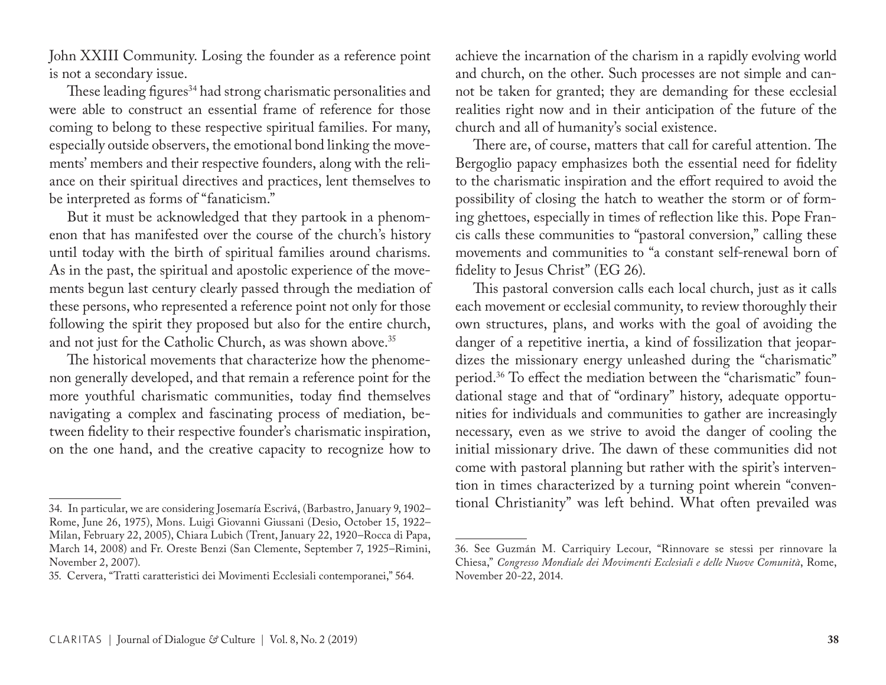John XXIII Community. Losing the founder as a reference point is not a secondary issue.

These leading figures<sup>34</sup> had strong charismatic personalities and were able to construct an essential frame of reference for those coming to belong to these respective spiritual families. For many, especially outside observers, the emotional bond linking the movements' members and their respective founders, along with the reliance on their spiritual directives and practices, lent themselves to be interpreted as forms of "fanaticism."

But it must be acknowledged that they partook in a phenomenon that has manifested over the course of the church's history until today with the birth of spiritual families around charisms. As in the past, the spiritual and apostolic experience of the movements begun last century clearly passed through the mediation of these persons, who represented a reference point not only for those following the spirit they proposed but also for the entire church, and not just for the Catholic Church, as was shown above.<sup>35</sup>

The historical movements that characterize how the phenomenon generally developed, and that remain a reference point for the more youthful charismatic communities, today find themselves navigating a complex and fascinating process of mediation, between fidelity to their respective founder's charismatic inspiration, on the one hand, and the creative capacity to recognize how to

achieve the incarnation of the charism in a rapidly evolving world and church, on the other. Such processes are not simple and cannot be taken for granted; they are demanding for these ecclesial realities right now and in their anticipation of the future of the church and all of humanity's social existence.

There are, of course, matters that call for careful attention. The Bergoglio papacy emphasizes both the essential need for fidelity to the charismatic inspiration and the effort required to avoid the possibility of closing the hatch to weather the storm or of forming ghettoes, especially in times of reflection like this. Pope Francis calls these communities to "pastoral conversion," calling these movements and communities to "a constant self-renewal born of fidelity to Jesus Christ" (EG 26).

This pastoral conversion calls each local church, just as it calls each movement or ecclesial community, to review thoroughly their own structures, plans, and works with the goal of avoiding the danger of a repetitive inertia, a kind of fossilization that jeopardizes the missionary energy unleashed during the "charismatic" period.36 To effect the mediation between the "charismatic" foundational stage and that of "ordinary" history, adequate opportunities for individuals and communities to gather are increasingly necessary, even as we strive to avoid the danger of cooling the initial missionary drive. The dawn of these communities did not come with pastoral planning but rather with the spirit's intervention in times characterized by a turning point wherein "conventional Christianity" was left behind. What often prevailed was

<sup>34.</sup> In particular, we are considering Josemaría Escrivá, (Barbastro, January 9, 1902– Rome, June 26, 1975), Mons. Luigi Giovanni Giussani (Desio, October 15, 1922– Milan, February 22, 2005), Chiara Lubich (Trent, January 22, 1920–Rocca di Papa, March 14, 2008) and Fr. Oreste Benzi (San Clemente, September 7, 1925–Rimini, November 2, 2007).

<sup>35.</sup> Cervera, "Tratti caratteristici dei Movimenti Ecclesiali contemporanei," 564.

<sup>36.</sup> See Guzmán M. Carriquiry Lecour, "Rinnovare se stessi per rinnovare la Chiesa," *Congresso Mondiale dei Movimenti Ecclesiali e delle Nuove Comunità*, Rome, November 20-22, 2014.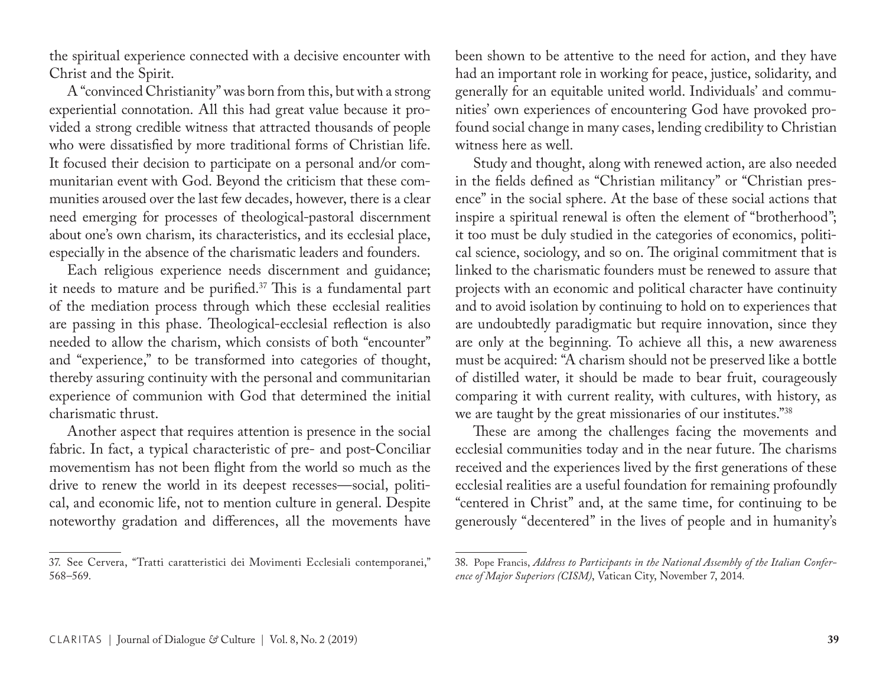the spiritual experience connected with a decisive encounter with Christ and the Spirit.

A "convinced Christianity" was born from this, but with a strong experiential connotation. All this had great value because it provided a strong credible witness that attracted thousands of people who were dissatisfied by more traditional forms of Christian life. It focused their decision to participate on a personal and/or communitarian event with God. Beyond the criticism that these communities aroused over the last few decades, however, there is a clear need emerging for processes of theological-pastoral discernment about one's own charism, its characteristics, and its ecclesial place, especially in the absence of the charismatic leaders and founders.

Each religious experience needs discernment and guidance; it needs to mature and be purified.<sup>37</sup> This is a fundamental part of the mediation process through which these ecclesial realities are passing in this phase. Theological-ecclesial reflection is also needed to allow the charism, which consists of both "encounter" and "experience," to be transformed into categories of thought, thereby assuring continuity with the personal and communitarian experience of communion with God that determined the initial charismatic thrust.

Another aspect that requires attention is presence in the social fabric. In fact, a typical characteristic of pre- and post-Conciliar movementism has not been flight from the world so much as the drive to renew the world in its deepest recesses—social, political, and economic life, not to mention culture in general. Despite noteworthy gradation and differences, all the movements have been shown to be attentive to the need for action, and they have had an important role in working for peace, justice, solidarity, and generally for an equitable united world. Individuals' and communities' own experiences of encountering God have provoked profound social change in many cases, lending credibility to Christian witness here as well.

Study and thought, along with renewed action, are also needed in the fields defined as "Christian militancy" or "Christian presence" in the social sphere. At the base of these social actions that inspire a spiritual renewal is often the element of "brotherhood"; it too must be duly studied in the categories of economics, political science, sociology, and so on. The original commitment that is linked to the charismatic founders must be renewed to assure that projects with an economic and political character have continuity and to avoid isolation by continuing to hold on to experiences that are undoubtedly paradigmatic but require innovation, since they are only at the beginning. To achieve all this, a new awareness must be acquired: "A charism should not be preserved like a bottle of distilled water, it should be made to bear fruit, courageously comparing it with current reality, with cultures, with history, as we are taught by the great missionaries of our institutes."38

These are among the challenges facing the movements and ecclesial communities today and in the near future. The charisms received and the experiences lived by the first generations of these ecclesial realities are a useful foundation for remaining profoundly "centered in Christ" and, at the same time, for continuing to be generously "decentered" in the lives of people and in humanity's

<sup>37.</sup> See Cervera, "Tratti caratteristici dei Movimenti Ecclesiali contemporanei," 568–569.

<sup>38.</sup> Pope Francis, *Address to Participants in the National Assembly of the Italian Conference of Major Superiors (CISM)*, Vatican City, November 7, 2014*.*